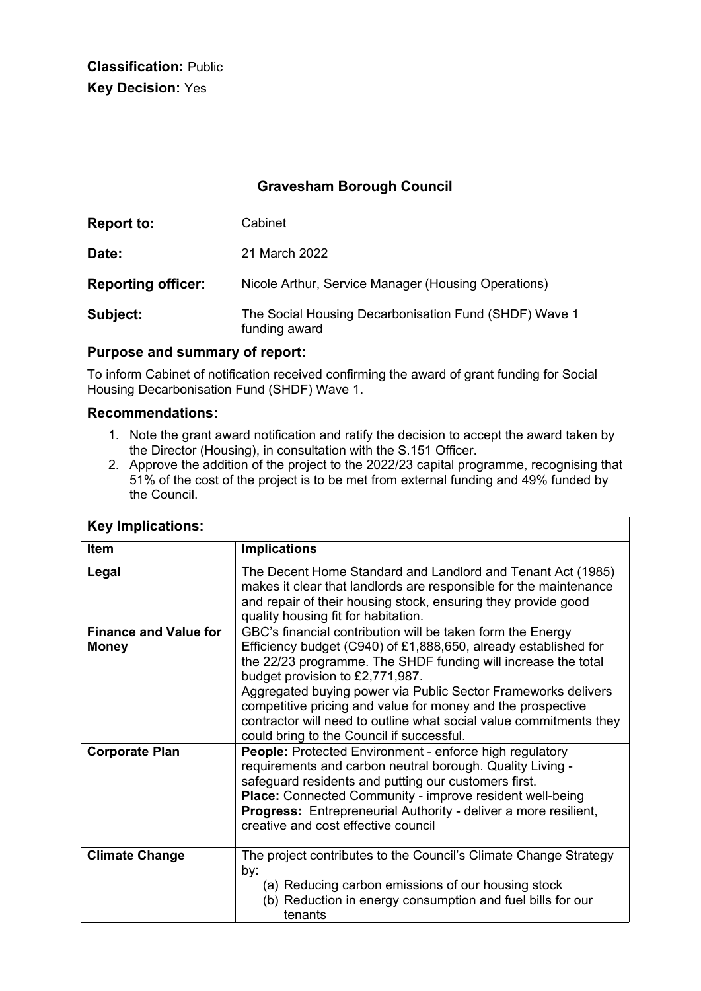**Classification:** Public **Key Decision:** Yes

# **Gravesham Borough Council**

| <b>Report to:</b>         | Cabinet                                                                |
|---------------------------|------------------------------------------------------------------------|
| Date:                     | 21 March 2022                                                          |
| <b>Reporting officer:</b> | Nicole Arthur, Service Manager (Housing Operations)                    |
| Subject:                  | The Social Housing Decarbonisation Fund (SHDF) Wave 1<br>funding award |

#### **Purpose and summary of report:**

To inform Cabinet of notification received confirming the award of grant funding for Social Housing Decarbonisation Fund (SHDF) Wave 1.

#### **Recommendations:**

- 1. Note the grant award notification and ratify the decision to accept the award taken by the Director (Housing), in consultation with the S.151 Officer.
- 2. Approve the addition of the project to the 2022/23 capital programme, recognising that 51% of the cost of the project is to be met from external funding and 49% funded by the Council.

| <b>Key Implications:</b>                     |                                                                                                                                                                                                                                                                                                                                                                                                                                                                                      |  |
|----------------------------------------------|--------------------------------------------------------------------------------------------------------------------------------------------------------------------------------------------------------------------------------------------------------------------------------------------------------------------------------------------------------------------------------------------------------------------------------------------------------------------------------------|--|
| <b>Item</b>                                  | <b>Implications</b>                                                                                                                                                                                                                                                                                                                                                                                                                                                                  |  |
| Legal                                        | The Decent Home Standard and Landlord and Tenant Act (1985)<br>makes it clear that landlords are responsible for the maintenance<br>and repair of their housing stock, ensuring they provide good<br>quality housing fit for habitation.                                                                                                                                                                                                                                             |  |
| <b>Finance and Value for</b><br><b>Money</b> | GBC's financial contribution will be taken form the Energy<br>Efficiency budget (C940) of £1,888,650, already established for<br>the 22/23 programme. The SHDF funding will increase the total<br>budget provision to £2,771,987.<br>Aggregated buying power via Public Sector Frameworks delivers<br>competitive pricing and value for money and the prospective<br>contractor will need to outline what social value commitments they<br>could bring to the Council if successful. |  |
| <b>Corporate Plan</b>                        | <b>People:</b> Protected Environment - enforce high regulatory<br>requirements and carbon neutral borough. Quality Living -<br>safeguard residents and putting our customers first.<br>Place: Connected Community - improve resident well-being<br>Progress: Entrepreneurial Authority - deliver a more resilient,<br>creative and cost effective council                                                                                                                            |  |
| <b>Climate Change</b>                        | The project contributes to the Council's Climate Change Strategy<br>by:<br>(a) Reducing carbon emissions of our housing stock<br>(b) Reduction in energy consumption and fuel bills for our<br>tenants                                                                                                                                                                                                                                                                               |  |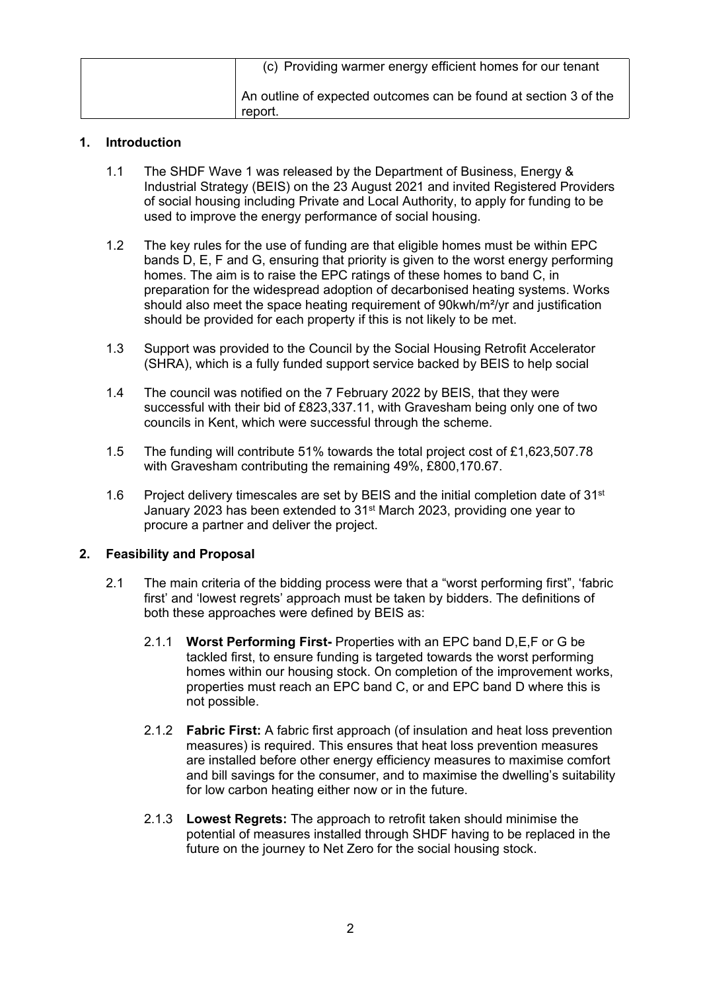| (c) Providing warmer energy efficient homes for our tenant                  |
|-----------------------------------------------------------------------------|
| An outline of expected outcomes can be found at section 3 of the<br>report. |

#### **1. Introduction**

- 1.1 The SHDF Wave 1 was released by the Department of Business, Energy & Industrial Strategy (BEIS) on the 23 August 2021 and invited Registered Providers of social housing including Private and Local Authority, to apply for funding to be used to improve the energy performance of social housing.
- 1.2 The key rules for the use of funding are that eligible homes must be within EPC bands D, E, F and G, ensuring that priority is given to the worst energy performing homes. The aim is to raise the EPC ratings of these homes to band C, in preparation for the widespread adoption of decarbonised heating systems. Works should also meet the space heating requirement of 90kwh/m²/yr and justification should be provided for each property if this is not likely to be met.
- 1.3 Support was provided to the Council by the Social Housing Retrofit Accelerator (SHRA), which is a fully funded support service backed by BEIS to help social
- 1.4 The council was notified on the 7 February 2022 by BEIS, that they were successful with their bid of £823,337.11, with Gravesham being only one of two councils in Kent, which were successful through the scheme.
- 1.5 The funding will contribute 51% towards the total project cost of £1,623,507.78 with Gravesham contributing the remaining 49%, £800,170.67.
- 1.6 Project delivery timescales are set by BEIS and the initial completion date of 31<sup>st</sup> January 2023 has been extended to 31st March 2023, providing one year to procure a partner and deliver the project.

### **2. Feasibility and Proposal**

- 2.1 The main criteria of the bidding process were that a "worst performing first", 'fabric first' and 'lowest regrets' approach must be taken by bidders. The definitions of both these approaches were defined by BEIS as:
	- 2.1.1 **Worst Performing First-** Properties with an EPC band D,E,F or G be tackled first, to ensure funding is targeted towards the worst performing homes within our housing stock. On completion of the improvement works, properties must reach an EPC band C, or and EPC band D where this is not possible.
	- 2.1.2 **Fabric First:** A fabric first approach (of insulation and heat loss prevention measures) is required. This ensures that heat loss prevention measures are installed before other energy efficiency measures to maximise comfort and bill savings for the consumer, and to maximise the dwelling's suitability for low carbon heating either now or in the future.
	- 2.1.3 **Lowest Regrets:** The approach to retrofit taken should minimise the potential of measures installed through SHDF having to be replaced in the future on the journey to Net Zero for the social housing stock.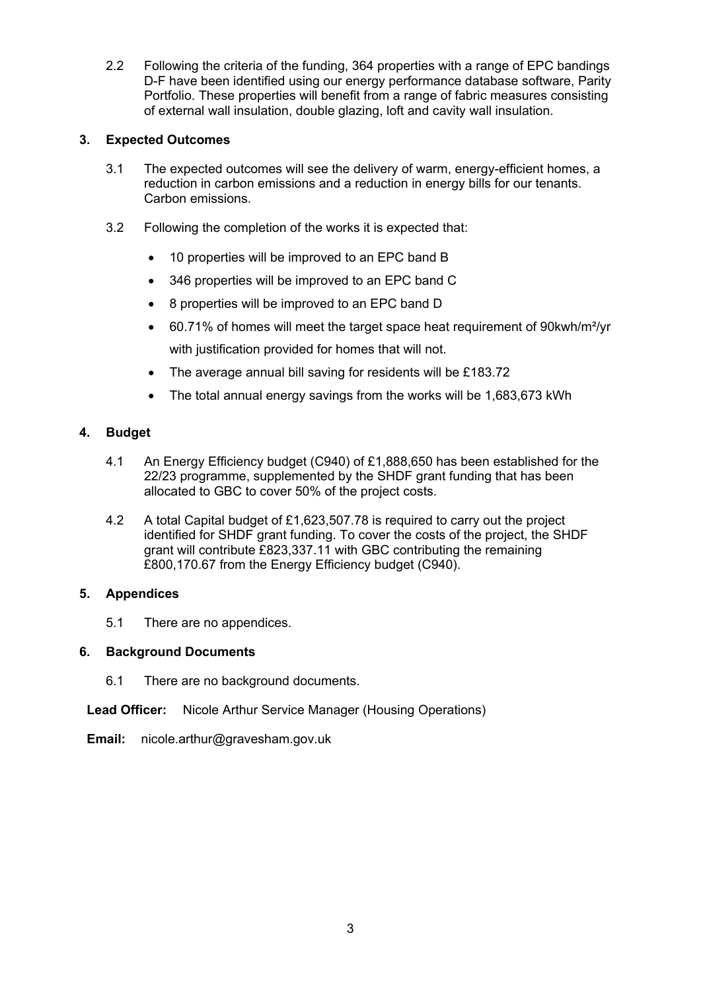2.2 Following the criteria of the funding, 364 properties with a range of EPC bandings D-F have been identified using our energy performance database software, Parity Portfolio. These properties will benefit from a range of fabric measures consisting of external wall insulation, double glazing, loft and cavity wall insulation.

### **3. Expected Outcomes**

- 3.1 The expected outcomes will see the delivery of warm, energy-efficient homes, a reduction in carbon emissions and a reduction in energy bills for our tenants. Carbon emissions.
- 3.2 Following the completion of the works it is expected that:
	- 10 properties will be improved to an EPC band B
	- 346 properties will be improved to an EPC band C
	- 8 properties will be improved to an EPC band D
	- 60.71% of homes will meet the target space heat requirement of 90kwh/m²/yr with justification provided for homes that will not.
	- The average annual bill saving for residents will be £183.72
	- The total annual energy savings from the works will be 1,683,673 kWh

## **4. Budget**

- 4.1 An Energy Efficiency budget (C940) of £1,888,650 has been established for the 22/23 programme, supplemented by the SHDF grant funding that has been allocated to GBC to cover 50% of the project costs.
- 4.2 A total Capital budget of £1,623,507.78 is required to carry out the project identified for SHDF grant funding. To cover the costs of the project, the SHDF grant will contribute £823,337.11 with GBC contributing the remaining £800,170.67 from the Energy Efficiency budget (C940).

### **5. Appendices**

5.1 There are no appendices.

### **6. Background Documents**

6.1 There are no background documents.

**Lead Officer:** Nicole Arthur Service Manager (Housing Operations)

**Email:** nicole.arthur@gravesham.gov.uk